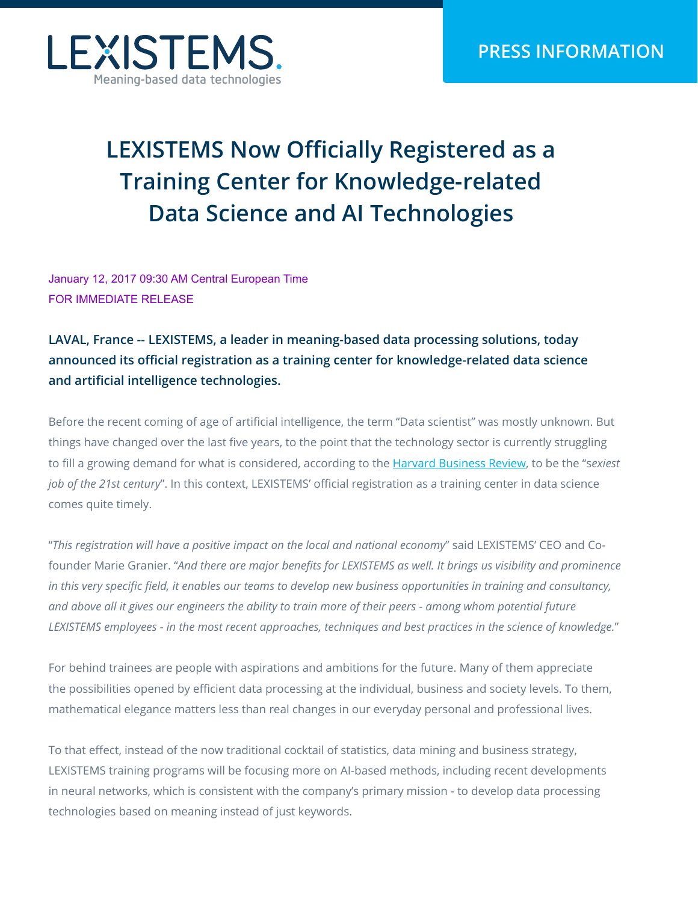

## **LEXISTEMS Now Officially Registered as a Training Center for Knowledge-related Data Science and AI Technologies**

January 12, 2017 09:30 AM Central European Time FOR IMMEDIATE RELEASE

**LAVAL, France -- LEXISTEMS, a leader in meaning-based data processing solutions, today announced its official registration as a training center for knowledge-related data science and artificial intelligence technologies.** 

Before the recent coming of age of artificial intelligence, the term "Data scientist" was mostly unknown. But things have changed over the last five years, to the point that the technology sector is currently struggling to fill a growing demand for what is considered, according to the [Harvard Business Review,](https://hbr.org/2012/10/data-scientist-the-sexiest-job-of-the-21st-century) to be the "s*exiest job of the 21st century*". In this context, LEXISTEMS' official registration as a training center in data science comes quite timely.

"*This registration will have a positive impact on the local and national economy*" said LEXISTEMS' CEO and Cofounder Marie Granier. "*And there are major benefits for LEXISTEMS as well. It brings us visibility and prominence in this very specific field, it enables our teams to develop new business opportunities in training and consultancy, and above all it gives our engineers the ability to train more of their peers - among whom potential future LEXISTEMS employees - in the most recent approaches, techniques and best practices in the science of knowledge.*"

For behind trainees are people with aspirations and ambitions for the future. Many of them appreciate the possibilities opened by efficient data processing at the individual, business and society levels. To them, mathematical elegance matters less than real changes in our everyday personal and professional lives.

To that effect, instead of the now traditional cocktail of statistics, data mining and business strategy, LEXISTEMS training programs will be focusing more on AI-based methods, including recent developments in neural networks, which is consistent with the company's primary mission - to develop data processing technologies based on meaning instead of just keywords.